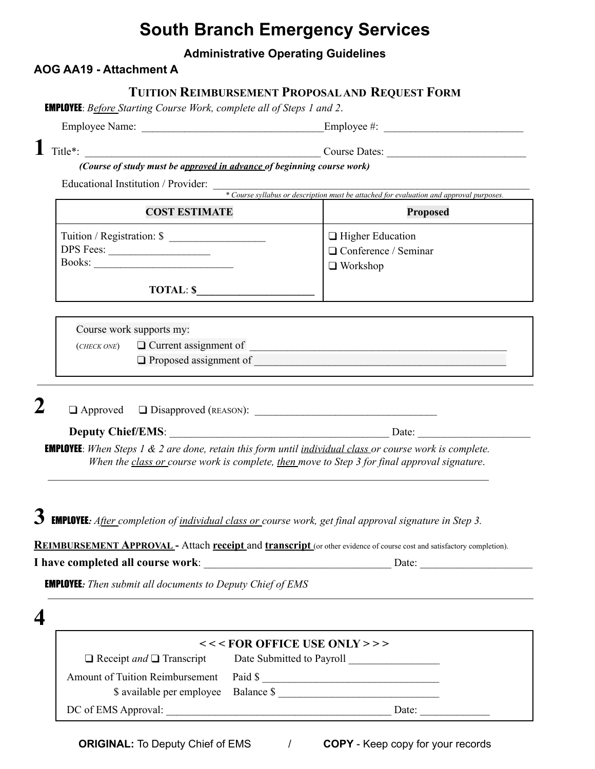# **South Branch Emergency Services**

#### **Administrative Operating Guidelines**

### **AOG AA19 - Attachment A**

### **TUITION REIMBURSEMENT PROPOSALAND REQUEST FORM**

EMPLOYEE: *Before Starting Course Work, complete all of Steps 1 and 2*.

Employee Name: \_\_\_\_\_\_\_\_\_\_\_\_\_\_\_\_\_\_\_\_\_\_\_\_\_\_\_\_\_\_\_\_\_\_Employee #: \_\_\_\_\_\_\_\_\_\_\_\_\_\_\_\_\_\_\_\_\_\_\_\_\_\_

**1** Title\*: \_\_\_\_\_\_\_\_\_\_\_\_\_\_\_\_\_\_\_\_\_\_\_\_\_\_\_\_\_\_\_\_\_\_\_\_\_\_\_\_\_\_\_\_ Course Dates: \_\_\_\_\_\_\_\_\_\_\_\_\_\_\_\_\_\_\_\_\_\_\_\_\_\_ *(Course of study must be approved in advance of beginning course work)*

Educational Institution / Provider: \_\_\_\_\_\_\_\_\_\_\_\_\_\_\_\_\_\_\_\_\_\_\_\_\_\_\_\_\_\_\_\_\_\_\_\_\_\_\_\_\_\_\_\_\_\_\_\_\_\_\_\_\_\_\_\_\_\_\_

*\* Course syllabus or description must be attached for evaluation and approval purposes.*

| <b>COST ESTIMATE</b>                              | <b>Proposed</b>                                                      |
|---------------------------------------------------|----------------------------------------------------------------------|
| Tuition / Registration: \$<br>DPS Fees:<br>Books: | $\Box$ Higher Education<br>□ Conference / Seminar<br>$\Box$ Workshop |
| <b>TOTAL: \$</b>                                  |                                                                      |

|             | Course work supports my:      |
|-------------|-------------------------------|
| (CHECK ONE) | $\Box$ Current assignment of  |
|             | $\Box$ Proposed assignment of |

| I<br>I<br>٦ |
|-------------|
| i<br>I      |
| ı<br>I      |
|             |

**2** ❑ Approved ❑ Disapproved (REASON): \_\_\_\_\_\_\_\_\_\_\_\_\_\_\_\_\_\_\_\_\_\_\_\_\_\_\_\_\_\_\_\_\_\_

**Deputy Chief/EMS**: \_\_\_\_\_\_\_\_\_\_\_\_\_\_\_\_\_\_\_\_\_\_\_\_\_\_\_\_\_\_\_\_\_\_\_\_\_\_\_\_\_ Date: \_\_\_\_\_\_\_\_\_\_\_\_\_\_\_\_\_\_\_\_\_ **EMPLOYEE**: When Steps 1  $\&$  2 are done, retain this form until *individual class or course work is complete. When the class or course work is complete, then move to Step 3 for final approval signature*.

**3** EMPLOYEE*: After completion of individual class or course work, get final approval signature in Step 3.*

**REIMBURSEMENT APPROVAL -** Attach **receipt** and **transcript** (or other evidence of course cost and satisfactory completion).

**I have completed all course work:** <br>  $\blacksquare$ 

EMPLOYEE*: Then submit all documents to Deputy Chief of EMS*

| $<<$ FOR OFFICE USE ONLY >>>                |                           |  |
|---------------------------------------------|---------------------------|--|
| $\Box$ Receipt <i>and</i> $\Box$ Transcript | Date Submitted to Payroll |  |
| Amount of Tuition Reimbursement             | Paid \$                   |  |
| \$ available per employee Balance \$        |                           |  |
| DC of EMS Approval:                         | Date:                     |  |